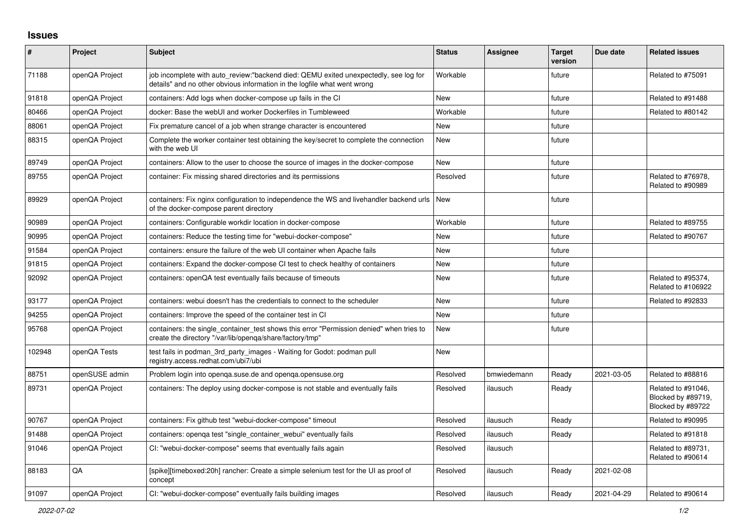## **Issues**

| $\pmb{\#}$ | Project        | <b>Subject</b>                                                                                                                                                   | <b>Status</b> | <b>Assignee</b> | <b>Target</b><br>version | Due date   | <b>Related issues</b>                                         |
|------------|----------------|------------------------------------------------------------------------------------------------------------------------------------------------------------------|---------------|-----------------|--------------------------|------------|---------------------------------------------------------------|
| 71188      | openQA Project | job incomplete with auto_review:"backend died: QEMU exited unexpectedly, see log for<br>details" and no other obvious information in the logfile what went wrong | Workable      |                 | future                   |            | Related to #75091                                             |
| 91818      | openQA Project | containers: Add logs when docker-compose up fails in the CI                                                                                                      | <b>New</b>    |                 | future                   |            | Related to #91488                                             |
| 80466      | openQA Project | docker: Base the webUI and worker Dockerfiles in Tumbleweed                                                                                                      | Workable      |                 | future                   |            | Related to #80142                                             |
| 88061      | openQA Project | Fix premature cancel of a job when strange character is encountered                                                                                              | <b>New</b>    |                 | future                   |            |                                                               |
| 88315      | openQA Project | Complete the worker container test obtaining the key/secret to complete the connection<br>with the web UI                                                        | New           |                 | future                   |            |                                                               |
| 89749      | openQA Project | containers: Allow to the user to choose the source of images in the docker-compose                                                                               | <b>New</b>    |                 | future                   |            |                                                               |
| 89755      | openQA Project | container: Fix missing shared directories and its permissions                                                                                                    | Resolved      |                 | future                   |            | Related to #76978,<br>Related to #90989                       |
| 89929      | openQA Project | containers: Fix nginx configuration to independence the WS and livehandler backend urls<br>of the docker-compose parent directory                                | <b>New</b>    |                 | future                   |            |                                                               |
| 90989      | openQA Project | containers: Configurable workdir location in docker-compose                                                                                                      | Workable      |                 | future                   |            | Related to #89755                                             |
| 90995      | openQA Project | containers: Reduce the testing time for "webui-docker-compose"                                                                                                   | <b>New</b>    |                 | future                   |            | Related to #90767                                             |
| 91584      | openQA Project | containers: ensure the failure of the web UI container when Apache fails                                                                                         | <b>New</b>    |                 | future                   |            |                                                               |
| 91815      | openQA Project | containers: Expand the docker-compose CI test to check healthy of containers                                                                                     | <b>New</b>    |                 | future                   |            |                                                               |
| 92092      | openQA Project | containers: openQA test eventually fails because of timeouts                                                                                                     | <b>New</b>    |                 | future                   |            | Related to #95374,<br>Related to #106922                      |
| 93177      | openQA Project | containers: webui doesn't has the credentials to connect to the scheduler                                                                                        | <b>New</b>    |                 | future                   |            | Related to #92833                                             |
| 94255      | openQA Project | containers: Improve the speed of the container test in CI                                                                                                        | <b>New</b>    |                 | future                   |            |                                                               |
| 95768      | openQA Project | containers: the single_container_test shows this error "Permission denied" when tries to<br>create the directory "/var/lib/openqa/share/factory/tmp"             | <b>New</b>    |                 | future                   |            |                                                               |
| 102948     | openQA Tests   | test fails in podman_3rd_party_images - Waiting for Godot: podman pull<br>registry.access.redhat.com/ubi7/ubi                                                    | <b>New</b>    |                 |                          |            |                                                               |
| 88751      | openSUSE admin | Problem login into openga.suse.de and openga.opensuse.org                                                                                                        | Resolved      | bmwiedemann     | Ready                    | 2021-03-05 | Related to #88816                                             |
| 89731      | openQA Project | containers: The deploy using docker-compose is not stable and eventually fails                                                                                   | Resolved      | ilausuch        | Ready                    |            | Related to #91046,<br>Blocked by #89719,<br>Blocked by #89722 |
| 90767      | openQA Project | containers: Fix github test "webui-docker-compose" timeout                                                                                                       | Resolved      | ilausuch        | Ready                    |            | Related to #90995                                             |
| 91488      | openQA Project | containers: openga test "single container webui" eventually fails                                                                                                | Resolved      | ilausuch        | Ready                    |            | Related to #91818                                             |
| 91046      | openQA Project | CI: "webui-docker-compose" seems that eventually fails again                                                                                                     | Resolved      | ilausuch        |                          |            | Related to #89731,<br>Related to #90614                       |
| 88183      | QA             | [spike][timeboxed:20h] rancher: Create a simple selenium test for the UI as proof of<br>concept                                                                  | Resolved      | ilausuch        | Ready                    | 2021-02-08 |                                                               |
| 91097      | openQA Project | CI: "webui-docker-compose" eventually fails building images                                                                                                      | Resolved      | ilausuch        | Ready                    | 2021-04-29 | Related to #90614                                             |